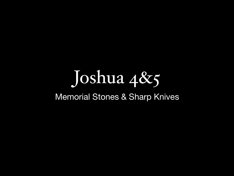Joshua 4&5

#### Memorial Stones & Sharp Knives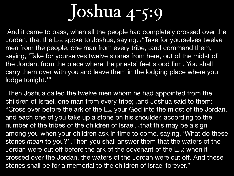1And it came to pass, when all the people had completely crossed over the Jordan, that the L<sub>ORD</sub> spoke to Joshua, saying: <sup>2</sup> "Take for yourselves twelve men from the people, one man from every tribe, sand command them, saying, 'Take for yourselves twelve stones from here, out of the midst of the Jordan, from the place where the priests' feet stood firm. You shall carry them over with you and leave them in the lodging place where you lodge tonight.'"

4Then Joshua called the twelve men whom he had appointed from the children of Israel, one man from every tribe; sand Joshua said to them: "Cross over before the ark of the LORD your God into the midst of the Jordan, and each one of you take up a stone on his shoulder, according to the number of the tribes of the children of Israel, that this may be a sign among you when your children ask in time to come, saying, 'What do these stones *mean* to you?', Then you shall answer them that the waters of the Jordan were cut off before the ark of the covenant of the L<sub>ORD</sub>; when it crossed over the Jordan, the waters of the Jordan were cut off. And these stones shall be for a memorial to the children of Israel forever."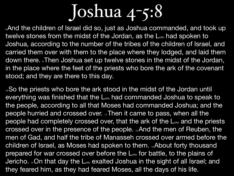. And the children of Israel did so, just as Joshua commanded, and took up twelve stones from the midst of the Jordan, as the L<sub>ORD</sub> had spoken to Joshua, according to the number of the tribes of the children of Israel, and carried them over with them to the place where they lodged, and laid them down there. Then Joshua set up twelve stones in the midst of the Jordan, in the place where the feet of the priests who bore the ark of the covenant stood; and they are there to this day.

<sup>10</sup>So the priests who bore the ark stood in the midst of the Jordan until everything was finished that the L<sub>ORD</sub> had commanded Joshua to speak to the people, according to all that Moses had commanded Joshua; and the people hurried and crossed over.  $\frac{1}{11}$ Then it came to pass, when all the people had completely crossed over, that the ark of the L<sub>ORD</sub> and the priests crossed over in the presence of the people. 12And the men of Reuben, the men of Gad, and half the tribe of Manasseh crossed over armed before the children of Israel, as Moses had spoken to them. 13About forty thousand prepared for war crossed over before the L<sub>ORD</sub> for battle, to the plains of Jericho. 14On that day the L<sub>ORD</sub> exalted Joshua in the sight of all Israel; and they feared him, as they had feared Moses, all the days of his life.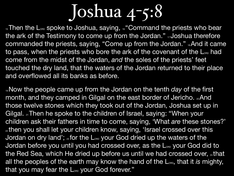15 Then the L<sub>ORD</sub> spoke to Joshua, saying, 16 "Command the priests who bear the ark of the Testimony to come up from the Jordan." <sub>17</sub> Joshua therefore commanded the priests, saying, "Come up from the Jordan." 18And it came to pass, when the priests who bore the ark of the covenant of the L<sub>ORD</sub> had come from the midst of the Jordan, *and* the soles of the priests' feet touched the dry land, that the waters of the Jordan returned to their place and overflowed all its banks as before.

19 Now the people came up from the Jordan on the tenth *day* of the first month, and they camped in Gilgal on the east border of Jericho. 20 And those twelve stones which they took out of the Jordan, Joshua set up in Gilgal. 21 Then he spoke to the children of Israel, saying: "When your children ask their fathers in time to come, saying, 'What *are* these stones?' 22 then you shall let your children know, saying, 'Israel crossed over this Jordan on dry land'; 23 for the LORD your God dried up the waters of the Jordan before you until you had crossed over, as the L<sub>ORD</sub> your God did to the Red Sea, which He dried up before us until we had crossed over, 24 that all the peoples of the earth may know the hand of the L<sub>ORD</sub>, that it *is* mighty, that you may fear the L<sub>ORD</sub> your God forever."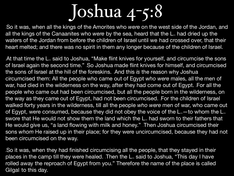1So it was, when all the kings of the Amorites who *were* on the west side of the Jordan, and all the kings of the Canaanites who were by the sea, heard that the L<sub>ore</sub> had dried up the waters of the Jordan from before the children of Israel until we had crossed over, that their heart melted; and there was no spirit in them any longer because of the children of Israel.

At that time the L<sub>®</sub> said to Joshua, "Make flint knives for yourself, and circumcise the sons of Israel again the second time." So Joshua made flint knives for himself, and circumcised the sons of Israel at the hill of the foreskins. And this *is* the reason why Joshua circumcised them: All the people who came out of Egypt *who were* males, all the men of war, had died in the wilderness on the way, after they had come out of Egypt. For all the people who came out had been circumcised, but all the people born in the wilderness, on the way as they came out of Egypt, had not been circumcised. For the children of Israel walked forty years in the wilderness, till all the people *who were* men of war, who came out of Egypt, were consumed, because they did not obey the voice of the  $L_{\infty}$ —to whom the  $L_{\infty}$ swore that He would not show them the land which the L<sub>ore</sub> had sworn to their fathers that He would give us, "a land flowing with milk and honey.". Then Joshua circumcised their sons *whom* He raised up in their place; for they were uncircumcised, because they had not been circumcised on the way.

.So it was, when they had finished circumcising all the people, that they stayed in their places in the camp till they were healed. Then the L<sub>ore</sub> said to Joshua, "This day I have rolled away the reproach of Egypt from you." Therefore the name of the place is called Gilgal to this day.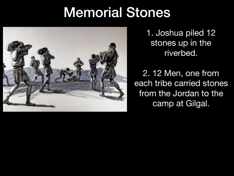### Memorial Stones



1. Joshua piled 12 stones up in the riverbed.

2. 12 Men, one from each tribe carried stones from the Jordan to the camp at Gilgal.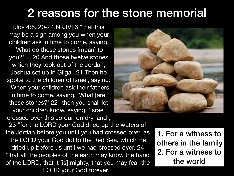#### 2 reasons for the stone memorial

[Jos 4:6, 20-24 NKJV] 6 "that this may be a sign among you when your children ask in time to come, saying, 'What do these stones [mean] to you?' ... 20 And those twelve stones which they took out of the Jordan, Joshua set up in Gilgal. 21 Then he spoke to the children of Israel, saying: "When your children ask their fathers in time to come, saying, 'What [are] these stones?' 22 "then you shall let your children know, saying, 'Israel crossed over this Jordan on dry land';



23 "for the LORD your God dried up the waters of the Jordan before you until you had crossed over, as the LORD your God did to the Red Sea, which He dried up before us until we had crossed over, 24 "that all the peoples of the earth may know the hand of the LORD, that it [is] mighty, that you may fear the LORD your God forever."

1. For a witness to others in the family 2. For a witness to the world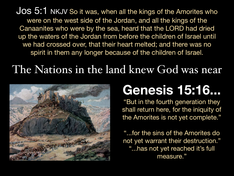Jos 5:1 NKJV So it was, when all the kings of the Amorites who were on the west side of the Jordan, and all the kings of the Canaanites who were by the sea, heard that the LORD had dried up the waters of the Jordan from before the children of Israel until we had crossed over, that their heart melted; and there was no spirit in them any longer because of the children of Israel.

#### The Nations in the land knew God was near



### **Genesis 15:16...**

"But in the fourth generation they shall return here, for the iniquity of the Amorites is not yet complete."

"...for the sins of the Amorites do not yet warrant their destruction." "...has not yet reached it's full measure."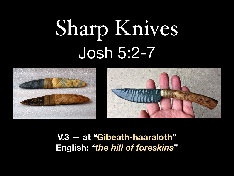# Sharp Knives Josh 5:2-7



**V.3 — at "Gibeath-haaraloth" English: "***the hill of foreskins***"**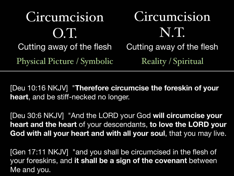Circumcision O.T. Cutting away of the flesh Cutting away of the flesh Physical Picture / Symbolic Reality / Spiritual

Circumcision N.T.

[Deu 10:16 NKJV] "**Therefore circumcise the foreskin of your heart**, and be stiff-necked no longer.

[Deu 30:6 NKJV] "And the LORD your God **will circumcise your heart and the heart** of your descendants, **to love the LORD your God with all your heart and with all your soul**, that you may live.

[Gen 17:11 NKJV] "and you shall be circumcised in the flesh of your foreskins, and **it shall be a sign of the covenant** between Me and you.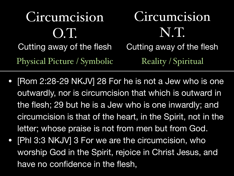Circumcision O.T. Cutting away of the flesh Cutting away of the flesh Circumcision N.T. Physical Picture / Symbolic Reality / Spiritual

- [Rom 2:28-29 NKJV] 28 For he is not a Jew who is one outwardly, nor is circumcision that which is outward in the flesh; 29 but he is a Jew who is one inwardly; and circumcision is that of the heart, in the Spirit, not in the letter; whose praise is not from men but from God.
- [Phl 3:3 NKJV] 3 For we are the circumcision, who worship God in the Spirit, rejoice in Christ Jesus, and have no confidence in the flesh,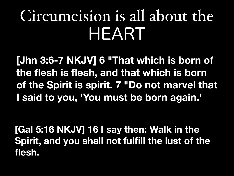### Circumcision is all about the HEART

**[Jhn 3:6-7 NKJV] 6 "That which is born of the flesh is flesh, and that which is born of the Spirit is spirit. 7 "Do not marvel that I said to you, 'You must be born again.'**

**[Gal 5:16 NKJV] 16 I say then: Walk in the Spirit, and you shall not fulfill the lust of the flesh.**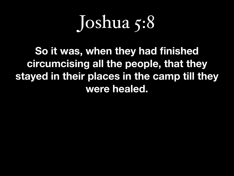### Joshua 5:8

**So it was, when they had finished circumcising all the people, that they stayed in their places in the camp till they were healed.**